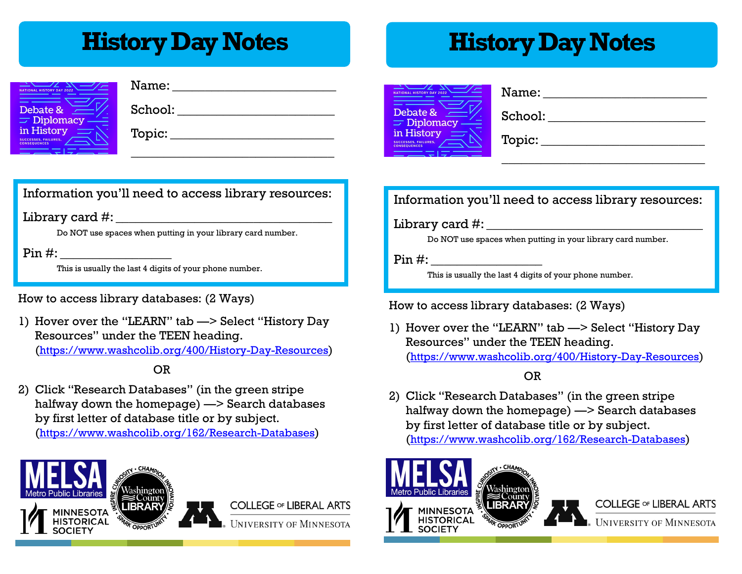# **History Day Notes History Day Notes**

| <b>NATIONAL HISTORY DAY 2022</b>                                 |
|------------------------------------------------------------------|
| Debate &                                                         |
| Diplomacy<br>ø                                                   |
| in History<br><b>SUCCESSES, FAILURES.</b><br><b>CONSEQUENCES</b> |
|                                                                  |

| Name:   |  |
|---------|--|
| School: |  |
| Topic:  |  |
|         |  |

## Information you'll need to access library resources:

### $Libr$ ary card  $\#$ :

Do NOT use spaces when putting in your library card number.

### $Pin \#$ :

This is usually the last 4 digits of your phone number.

How to access library databases: (2 Ways)

1) Hover over the "LEARN" tab —> Select "History Day Resources" under the TEEN heading. (<https://www.washcolib.org/400/History-Day-Resources>)

## OR

2) Click "Research Databases" (in the green stripe halfway down the homepage) —> Search databases by first letter of database title or by subject. (<https://www.washcolib.org/162/Research-Databases>)



| <b>NATIONAL HISTORY DAY 2022</b>                                 |   |
|------------------------------------------------------------------|---|
| Debate &<br>$\equiv$ Diplomacy                                   | ٢ |
| in History<br><b>SUCCESSES, FAILURES.</b><br><b>CONSEQUENCES</b> |   |
|                                                                  |   |

| Name:   |
|---------|
| School: |
| Topic:  |
|         |

## Information you'll need to access library resources:

 $\text{Library card } \#:$ 

Do NOT use spaces when putting in your library card number.

 $Pin \#$ :

This is usually the last 4 digits of your phone number.

### How to access library databases: (2 Ways)

1) Hover over the "LEARN" tab —> Select "History Day Resources" under the TEEN heading. (<https://www.washcolib.org/400/History-Day-Resources>)

OR

2) Click "Research Databases" (in the green stripe halfway down the homepage) —> Search databases by first letter of database title or by subject. (<https://www.washcolib.org/162/Research-Databases>)